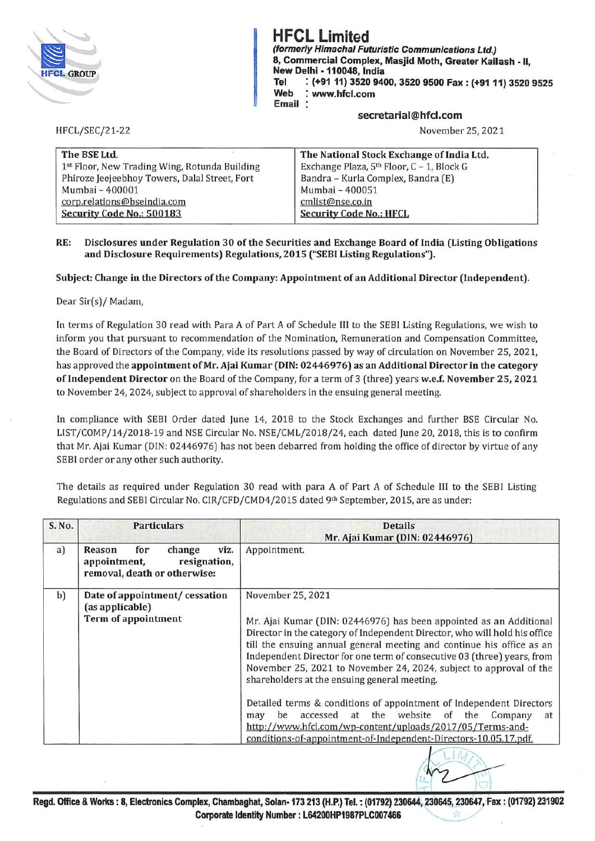

HFCL/SEC/21-22

**HFCL Limited**  (formerly Himachal Futuristic Communications Ltd.) 8, Commercial Complex, Masjid Moth, Greater Kailash - 11, New Delhi -110048, India **Tel** : **(+9111) 3520 9400, 3520 9500 Fax: (+9111) 3520 9525 Web** : **www.hfcl.com Email** 

## **secretarial@hfcl.com**

November 25, 2021

| The BSE Ltd.                                  | The National Stock Exchange of India Ltd. |
|-----------------------------------------------|-------------------------------------------|
| 1st Floor, New Trading Wing, Rotunda Building | Exchange Plaza, 5th Floor, C - 1, Block G |
| Phiroze Jeejeebhoy Towers, Dalal Street, Fort | Bandra - Kurla Complex, Bandra (E)        |
| Mumbai - 400001                               | Mumbai - 400051                           |
| corp.relations@bseindia.com                   | cmlist@nse.co.in                          |
| Security Code No.: 500183                     | <b>Security Code No.: HFCL</b>            |

## **RE: Disclosures under Regulation 3 0 of the Securities and Exchange Board of India (Listing Obligations and Disclosure Requirements) Regulations, 2015 ("SEBI Listing Regulations").**

## **Subject: Change in the Directors of the Company: Appointment of an Additional Director (Independent).**

Dear Sir(s)/ Madam,

In terms of Regulation 30 read with Para A of Part A of Schedule III to the SEBI Listing Regulations, we wish to inform you that pursuant to recommendation of the Nomination, Remuneration and Compensation Committee, the Board of Directors of the Company, vide its resolutions passed by way of circulation on November 25, 2021, has approved the **appointment of Mr. Ajai Kumar (DIN: 02446976) as an Additional Director in the category of Independent Director** on the Board of the Company, for a term of 3 (three) years **w.e.f. November 25, 2021**  to November 24, 2024, subject to approval of shareholders in the ensuing general meeting.

In compliance with SEBI Order dated June 14, 2018 to the Stock Exchanges and further BSE Circular No. LIST/COMP/14/2018-19 and NSE Circular No. NSE/CML/2018/24, each dated June 20, 2018, this is to confirm that Mr. Ajai Kumar (DIN: 02446976) has not been debarred from holding the office of director by virtue of any SEBI order or any other such authority.

The details as required under Regulation 30 read with para A of Part A of Schedule Ill to the SEBI Listing Regulations and SEBI Circular No. CIR/CFD/CMD4/2015 dated 9th September, 2015, are as under:

| S. No. | <b>Particulars</b>                                                                              | <b>Details</b><br>Mr. Ajai Kumar (DIN: 02446976)                                                                                                                                                                                                                                                                                                                                                                                                                                                                                                                                                                                                                                                               |
|--------|-------------------------------------------------------------------------------------------------|----------------------------------------------------------------------------------------------------------------------------------------------------------------------------------------------------------------------------------------------------------------------------------------------------------------------------------------------------------------------------------------------------------------------------------------------------------------------------------------------------------------------------------------------------------------------------------------------------------------------------------------------------------------------------------------------------------------|
| a)     | change<br>viz.<br>Reason<br>for<br>appointment,<br>resignation,<br>removal, death or otherwise: | Appointment.                                                                                                                                                                                                                                                                                                                                                                                                                                                                                                                                                                                                                                                                                                   |
| b)     | Date of appointment/ cessation<br>(as applicable)                                               | November 25, 2021                                                                                                                                                                                                                                                                                                                                                                                                                                                                                                                                                                                                                                                                                              |
|        | Term of appointment                                                                             | Mr. Ajai Kumar (DIN: 02446976) has been appointed as an Additional<br>Director in the category of Independent Director, who will hold his office<br>till the ensuing annual general meeting and continue his office as an<br>Independent Director for one term of consecutive 03 (three) years, from<br>November 25, 2021 to November 24, 2024, subject to approval of the<br>shareholders at the ensuing general meeting.<br>Detailed terms & conditions of appointment of Independent Directors<br>website<br>be<br>accessed<br>at the<br>of<br>the<br>Company<br>may<br>at<br>http://www.hfcl.com/wp-content/uploads/2017/05/Terms-and-<br>conditions-of-appointment-of-Independent-Directors-10.05.17.pdf. |
|        |                                                                                                 |                                                                                                                                                                                                                                                                                                                                                                                                                                                                                                                                                                                                                                                                                                                |

**Regd. Office** & **Works: 8, Electronics Complex, Chambaghat, Solan-173 213 (H.P.) Tel.~ (01792) 230644, 230645, 230647, Fax: (01792) 231902 Corporate Identity Number** : **L64200HP1987PLC007466** , ·